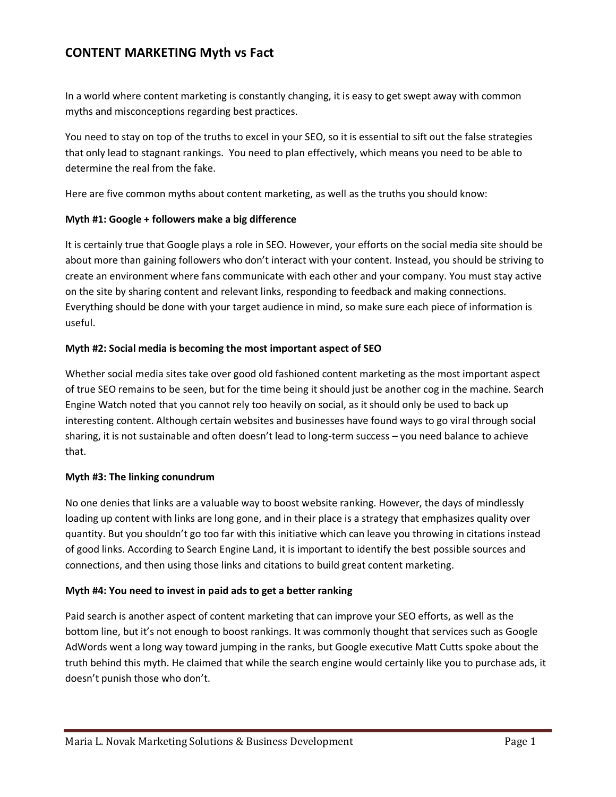# **CONTENT MARKETING Myth vs Fact**

In a world where content marketing is constantly changing, it is easy to get swept away with common myths and misconceptions regarding best practices.

You need to stay on top of the truths to excel in your SEO, so it is essential to sift out the false strategies that only lead to stagnant rankings. You need to plan effectively, which means you need to be able to determine the real from the fake.

Here are five common myths about content marketing, as well as the truths you should know:

# **Myth #1: Google + followers make a big difference**

It is certainly true that Google plays a role in SEO. However, your efforts on the social media site should be about more than gaining followers who don't interact with your content. Instead, you should be striving to create an environment where fans communicate with each other and your company. You must stay active on the site by sharing content and relevant links, responding to feedback and making connections. Everything should be done with your target audience in mind, so make sure each piece of information is useful.

# **Myth #2: Social media is becoming the most important aspect of SEO**

Whether social media sites take over good old fashioned content marketing as the most important aspect of true SEO remains to be seen, but for the time being it should just be another cog in the machine. Search Engine Watch noted that you cannot rely too heavily on social, as it should only be used to back up interesting content. Although certain websites and businesses have found ways to go viral through social sharing, it is not sustainable and often doesn't lead to long-term success – you need balance to achieve that.

### **Myth #3: The linking conundrum**

No one denies that links are a valuable way to boost website ranking. However, the days of mindlessly loading up content with links are long gone, and in their place is a strategy that emphasizes quality over quantity. But you shouldn't go too far with this initiative which can leave you throwing in citations instead of good links. According to Search Engine Land, it is important to identify the best possible sources and connections, and then using those links and citations to build great content marketing.

### **Myth #4: You need to invest in paid ads to get a better ranking**

Paid search is another aspect of content marketing that can improve your SEO efforts, as well as the bottom line, but it's not enough to boost rankings. It was commonly thought that services such as Google AdWords went a long way toward jumping in the ranks, but Google executive Matt Cutts spoke about the truth behind this myth. He claimed that while the search engine would certainly like you to purchase ads, it doesn't punish those who don't.